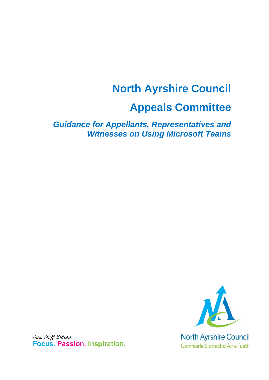# **North Ayrshire Council Appeals Committee**

*Guidance for Appellants, Representatives and Witnesses on Using Microsoft Teams* 



Our Staff Values Focus. Passion. Inspiration.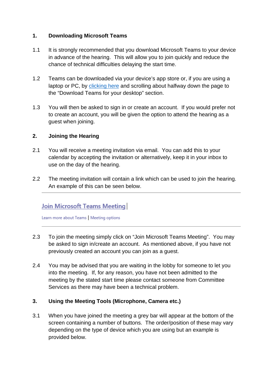#### **1. Downloading Microsoft Teams**

- 1.1 It is strongly recommended that you download Microsoft Teams to your device in advance of the hearing. This will allow you to join quickly and reduce the chance of technical difficulties delaying the start time.
- 1.2 Teams can be downloaded via your device's app store or, if you are using a laptop or PC, by [clicking here](https://www.microsoft.com/en-gb/microsoft-365/microsoft-teams/group-chat-software?ef_id=CjwKCAjw_qb3BRAVEiwAvwq6VlmWXbEqDjlgyFySBplrUtgZ90-JA6Jkx35D1fC0KqdajbqVN1gprRoCM4EQAvD_BwE:G:s&OCID=AID2000956_SEM_CjwKCAjw_qb3BRAVEiwAvwq6VlmWXbEqDjlgyFySBplrUtgZ90-JA6Jkx35D1fC0KqdajbqVN1gprRoCM4EQAvD_BwE:G:s) and scrolling about halfway down the page to the "Download Teams for your desktop" section.
- 1.3 You will then be asked to sign in or create an account. If you would prefer not to create an account, you will be given the option to attend the hearing as a guest when joining.

### **2. Joining the Hearing**

- 2.1 You will receive a meeting invitation via email. You can add this to your calendar by accepting the invitation or alternatively, keep it in your inbox to use on the day of the hearing.
- 2.2 The meeting invitation will contain a link which can be used to join the hearing. An example of this can be seen below.

## **Join Microsoft Teams Meeting**

Learn more about Teams | Meeting options

- 2.3 To join the meeting simply click on "Join Microsoft Teams Meeting". You may be asked to sign in/create an account. As mentioned above, if you have not previously created an account you can join as a guest.
- 2.4 You may be advised that you are waiting in the lobby for someone to let you into the meeting. If, for any reason, you have not been admitted to the meeting by the stated start time please contact someone from Committee Services as there may have been a technical problem.

### **3. Using the Meeting Tools (Microphone, Camera etc.)**

3.1 When you have joined the meeting a grey bar will appear at the bottom of the screen containing a number of buttons. The order/position of these may vary depending on the type of device which you are using but an example is provided below.